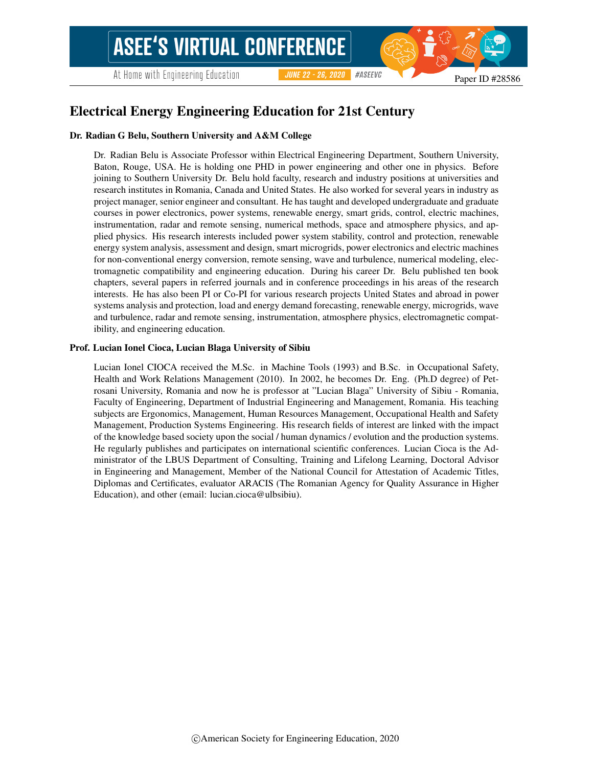At Home with Engineering Education

#ASEEVC **JUNE 22 - 26, 2020** 

# Electrical Energy Engineering Education for 21st Century

### Dr. Radian G Belu, Southern University and A&M College

Dr. Radian Belu is Associate Professor within Electrical Engineering Department, Southern University, Baton, Rouge, USA. He is holding one PHD in power engineering and other one in physics. Before joining to Southern University Dr. Belu hold faculty, research and industry positions at universities and research institutes in Romania, Canada and United States. He also worked for several years in industry as project manager, senior engineer and consultant. He has taught and developed undergraduate and graduate courses in power electronics, power systems, renewable energy, smart grids, control, electric machines, instrumentation, radar and remote sensing, numerical methods, space and atmosphere physics, and applied physics. His research interests included power system stability, control and protection, renewable energy system analysis, assessment and design, smart microgrids, power electronics and electric machines for non-conventional energy conversion, remote sensing, wave and turbulence, numerical modeling, electromagnetic compatibility and engineering education. During his career Dr. Belu published ten book chapters, several papers in referred journals and in conference proceedings in his areas of the research interests. He has also been PI or Co-PI for various research projects United States and abroad in power systems analysis and protection, load and energy demand forecasting, renewable energy, microgrids, wave and turbulence, radar and remote sensing, instrumentation, atmosphere physics, electromagnetic compatibility, and engineering education.

#### Prof. Lucian Ionel Cioca, Lucian Blaga University of Sibiu

Lucian Ionel CIOCA received the M.Sc. in Machine Tools (1993) and B.Sc. in Occupational Safety, Health and Work Relations Management (2010). In 2002, he becomes Dr. Eng. (Ph.D degree) of Petrosani University, Romania and now he is professor at "Lucian Blaga" University of Sibiu - Romania, Faculty of Engineering, Department of Industrial Engineering and Management, Romania. His teaching subjects are Ergonomics, Management, Human Resources Management, Occupational Health and Safety Management, Production Systems Engineering. His research fields of interest are linked with the impact of the knowledge based society upon the social / human dynamics / evolution and the production systems. He regularly publishes and participates on international scientific conferences. Lucian Cioca is the Administrator of the LBUS Department of Consulting, Training and Lifelong Learning, Doctoral Advisor in Engineering and Management, Member of the National Council for Attestation of Academic Titles, Diplomas and Certificates, evaluator ARACIS (The Romanian Agency for Quality Assurance in Higher Education), and other (email: lucian.cioca@ulbsibiu).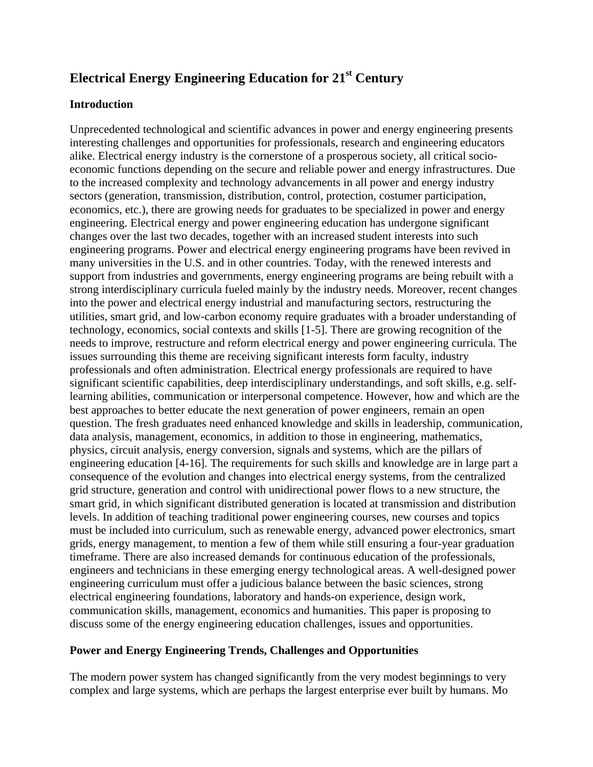# **Electrical Energy Engineering Education for 21st Century**

## **Introduction**

Unprecedented technological and scientific advances in power and energy engineering presents interesting challenges and opportunities for professionals, research and engineering educators alike. Electrical energy industry is the cornerstone of a prosperous society, all critical socioeconomic functions depending on the secure and reliable power and energy infrastructures. Due to the increased complexity and technology advancements in all power and energy industry sectors (generation, transmission, distribution, control, protection, costumer participation, economics, etc.), there are growing needs for graduates to be specialized in power and energy engineering. Electrical energy and power engineering education has undergone significant changes over the last two decades, together with an increased student interests into such engineering programs. Power and electrical energy engineering programs have been revived in many universities in the U.S. and in other countries. Today, with the renewed interests and support from industries and governments, energy engineering programs are being rebuilt with a strong interdisciplinary curricula fueled mainly by the industry needs. Moreover, recent changes into the power and electrical energy industrial and manufacturing sectors, restructuring the utilities, smart grid, and low-carbon economy require graduates with a broader understanding of technology, economics, social contexts and skills [1-5]. There are growing recognition of the needs to improve, restructure and reform electrical energy and power engineering curricula. The issues surrounding this theme are receiving significant interests form faculty, industry professionals and often administration. Electrical energy professionals are required to have significant scientific capabilities, deep interdisciplinary understandings, and soft skills, e.g. selflearning abilities, communication or interpersonal competence. However, how and which are the best approaches to better educate the next generation of power engineers, remain an open question. The fresh graduates need enhanced knowledge and skills in leadership, communication, data analysis, management, economics, in addition to those in engineering, mathematics, physics, circuit analysis, energy conversion, signals and systems, which are the pillars of engineering education [4-16]. The requirements for such skills and knowledge are in large part a consequence of the evolution and changes into electrical energy systems, from the centralized grid structure, generation and control with unidirectional power flows to a new structure, the smart grid, in which significant distributed generation is located at transmission and distribution levels. In addition of teaching traditional power engineering courses, new courses and topics must be included into curriculum, such as renewable energy, advanced power electronics, smart grids, energy management, to mention a few of them while still ensuring a four-year graduation timeframe. There are also increased demands for continuous education of the professionals, engineers and technicians in these emerging energy technological areas. A well-designed power engineering curriculum must offer a judicious balance between the basic sciences, strong electrical engineering foundations, laboratory and hands-on experience, design work, communication skills, management, economics and humanities. This paper is proposing to discuss some of the energy engineering education challenges, issues and opportunities.

# **Power and Energy Engineering Trends, Challenges and Opportunities**

The modern power system has changed significantly from the very modest beginnings to very complex and large systems, which are perhaps the largest enterprise ever built by humans. Mo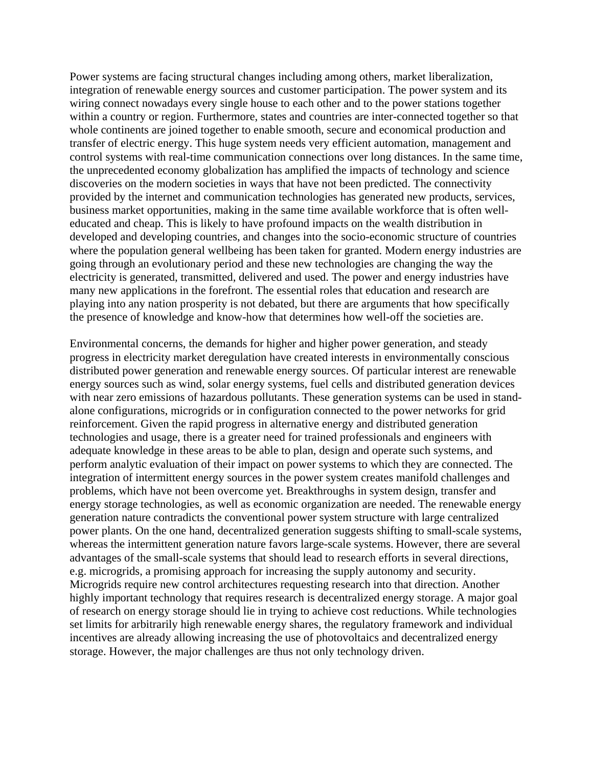Power systems are facing structural changes including among others, market liberalization, integration of renewable energy sources and customer participation. The power system and its wiring connect nowadays every single house to each other and to the power stations together within a country or region. Furthermore, states and countries are inter-connected together so that whole continents are joined together to enable smooth, secure and economical production and transfer of electric energy. This huge system needs very efficient automation, management and control systems with real-time communication connections over long distances. In the same time, the unprecedented economy globalization has amplified the impacts of technology and science discoveries on the modern societies in ways that have not been predicted. The connectivity provided by the internet and communication technologies has generated new products, services, business market opportunities, making in the same time available workforce that is often welleducated and cheap. This is likely to have profound impacts on the wealth distribution in developed and developing countries, and changes into the socio-economic structure of countries where the population general wellbeing has been taken for granted. Modern energy industries are going through an evolutionary period and these new technologies are changing the way the electricity is generated, transmitted, delivered and used. The power and energy industries have many new applications in the forefront. The essential roles that education and research are playing into any nation prosperity is not debated, but there are arguments that how specifically the presence of knowledge and know-how that determines how well-off the societies are.

Environmental concerns, the demands for higher and higher power generation, and steady progress in electricity market deregulation have created interests in environmentally conscious distributed power generation and renewable energy sources. Of particular interest are renewable energy sources such as wind, solar energy systems, fuel cells and distributed generation devices with near zero emissions of hazardous pollutants. These generation systems can be used in standalone configurations, microgrids or in configuration connected to the power networks for grid reinforcement. Given the rapid progress in alternative energy and distributed generation technologies and usage, there is a greater need for trained professionals and engineers with adequate knowledge in these areas to be able to plan, design and operate such systems, and perform analytic evaluation of their impact on power systems to which they are connected. The integration of intermittent energy sources in the power system creates manifold challenges and problems, which have not been overcome yet. Breakthroughs in system design, transfer and energy storage technologies, as well as economic organization are needed. The renewable energy generation nature contradicts the conventional power system structure with large centralized power plants. On the one hand, decentralized generation suggests shifting to small-scale systems, whereas the intermittent generation nature favors large-scale systems. However, there are several advantages of the small-scale systems that should lead to research efforts in several directions, e.g. microgrids, a promising approach for increasing the supply autonomy and security. Microgrids require new control architectures requesting research into that direction. Another highly important technology that requires research is decentralized energy storage. A major goal of research on energy storage should lie in trying to achieve cost reductions. While technologies set limits for arbitrarily high renewable energy shares, the regulatory framework and individual incentives are already allowing increasing the use of photovoltaics and decentralized energy storage. However, the major challenges are thus not only technology driven.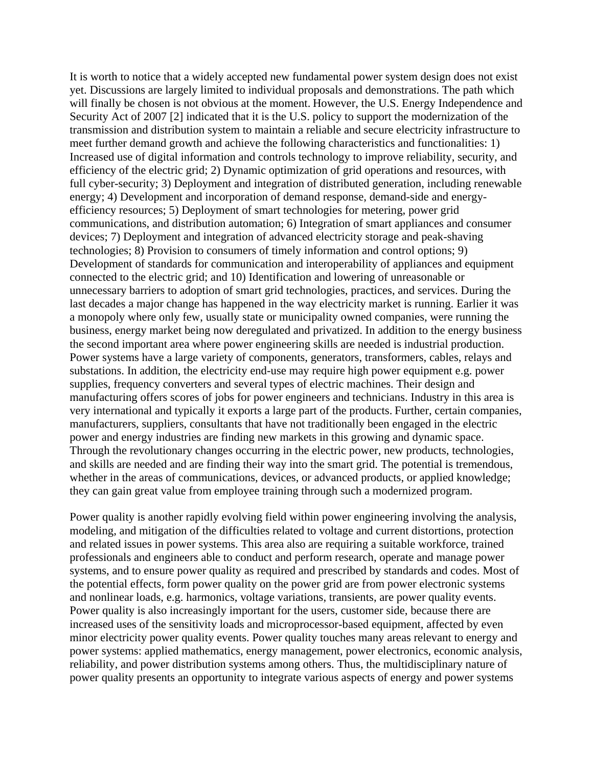It is worth to notice that a widely accepted new fundamental power system design does not exist yet. Discussions are largely limited to individual proposals and demonstrations. The path which will finally be chosen is not obvious at the moment. However, the U.S. Energy Independence and Security Act of 2007 [2] indicated that it is the U.S. policy to support the modernization of the transmission and distribution system to maintain a reliable and secure electricity infrastructure to meet further demand growth and achieve the following characteristics and functionalities: 1) Increased use of digital information and controls technology to improve reliability, security, and efficiency of the electric grid; 2) Dynamic optimization of grid operations and resources, with full cyber-security; 3) Deployment and integration of distributed generation, including renewable energy; 4) Development and incorporation of demand response, demand-side and energyefficiency resources; 5) Deployment of smart technologies for metering, power grid communications, and distribution automation; 6) Integration of smart appliances and consumer devices; 7) Deployment and integration of advanced electricity storage and peak-shaving technologies; 8) Provision to consumers of timely information and control options; 9) Development of standards for communication and interoperability of appliances and equipment connected to the electric grid; and 10) Identification and lowering of unreasonable or unnecessary barriers to adoption of smart grid technologies, practices, and services. During the last decades a major change has happened in the way electricity market is running. Earlier it was a monopoly where only few, usually state or municipality owned companies, were running the business, energy market being now deregulated and privatized. In addition to the energy business the second important area where power engineering skills are needed is industrial production. Power systems have a large variety of components, generators, transformers, cables, relays and substations. In addition, the electricity end-use may require high power equipment e.g. power supplies, frequency converters and several types of electric machines. Their design and manufacturing offers scores of jobs for power engineers and technicians. Industry in this area is very international and typically it exports a large part of the products. Further, certain companies, manufacturers, suppliers, consultants that have not traditionally been engaged in the electric power and energy industries are finding new markets in this growing and dynamic space. Through the revolutionary changes occurring in the electric power, new products, technologies, and skills are needed and are finding their way into the smart grid. The potential is tremendous, whether in the areas of communications, devices, or advanced products, or applied knowledge; they can gain great value from employee training through such a modernized program.

Power quality is another rapidly evolving field within power engineering involving the analysis, modeling, and mitigation of the difficulties related to voltage and current distortions, protection and related issues in power systems. This area also are requiring a suitable workforce, trained professionals and engineers able to conduct and perform research, operate and manage power systems, and to ensure power quality as required and prescribed by standards and codes. Most of the potential effects, form power quality on the power grid are from power electronic systems and nonlinear loads, e.g. harmonics, voltage variations, transients, are power quality events. Power quality is also increasingly important for the users, customer side, because there are increased uses of the sensitivity loads and microprocessor-based equipment, affected by even minor electricity power quality events. Power quality touches many areas relevant to energy and power systems: applied mathematics, energy management, power electronics, economic analysis, reliability, and power distribution systems among others. Thus, the multidisciplinary nature of power quality presents an opportunity to integrate various aspects of energy and power systems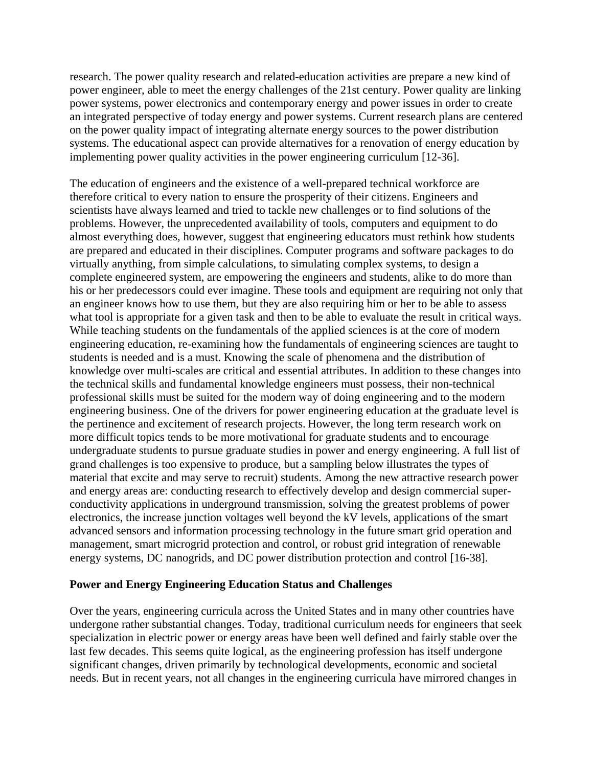research. The power quality research and related-education activities are prepare a new kind of power engineer, able to meet the energy challenges of the 21st century. Power quality are linking power systems, power electronics and contemporary energy and power issues in order to create an integrated perspective of today energy and power systems. Current research plans are centered on the power quality impact of integrating alternate energy sources to the power distribution systems. The educational aspect can provide alternatives for a renovation of energy education by implementing power quality activities in the power engineering curriculum [12-36].

The education of engineers and the existence of a well-prepared technical workforce are therefore critical to every nation to ensure the prosperity of their citizens. Engineers and scientists have always learned and tried to tackle new challenges or to find solutions of the problems. However, the unprecedented availability of tools, computers and equipment to do almost everything does, however, suggest that engineering educators must rethink how students are prepared and educated in their disciplines. Computer programs and software packages to do virtually anything, from simple calculations, to simulating complex systems, to design a complete engineered system, are empowering the engineers and students, alike to do more than his or her predecessors could ever imagine. These tools and equipment are requiring not only that an engineer knows how to use them, but they are also requiring him or her to be able to assess what tool is appropriate for a given task and then to be able to evaluate the result in critical ways. While teaching students on the fundamentals of the applied sciences is at the core of modern engineering education, re-examining how the fundamentals of engineering sciences are taught to students is needed and is a must. Knowing the scale of phenomena and the distribution of knowledge over multi-scales are critical and essential attributes. In addition to these changes into the technical skills and fundamental knowledge engineers must possess, their non-technical professional skills must be suited for the modern way of doing engineering and to the modern engineering business. One of the drivers for power engineering education at the graduate level is the pertinence and excitement of research projects. However, the long term research work on more difficult topics tends to be more motivational for graduate students and to encourage undergraduate students to pursue graduate studies in power and energy engineering. A full list of grand challenges is too expensive to produce, but a sampling below illustrates the types of material that excite and may serve to recruit) students. Among the new attractive research power and energy areas are: conducting research to effectively develop and design commercial superconductivity applications in underground transmission, solving the greatest problems of power electronics, the increase junction voltages well beyond the kV levels, applications of the smart advanced sensors and information processing technology in the future smart grid operation and management, smart microgrid protection and control, or robust grid integration of renewable energy systems, DC nanogrids, and DC power distribution protection and control [16-38].

## **Power and Energy Engineering Education Status and Challenges**

Over the years, engineering curricula across the United States and in many other countries have undergone rather substantial changes. Today, traditional curriculum needs for engineers that seek specialization in electric power or energy areas have been well defined and fairly stable over the last few decades. This seems quite logical, as the engineering profession has itself undergone significant changes, driven primarily by technological developments, economic and societal needs. But in recent years, not all changes in the engineering curricula have mirrored changes in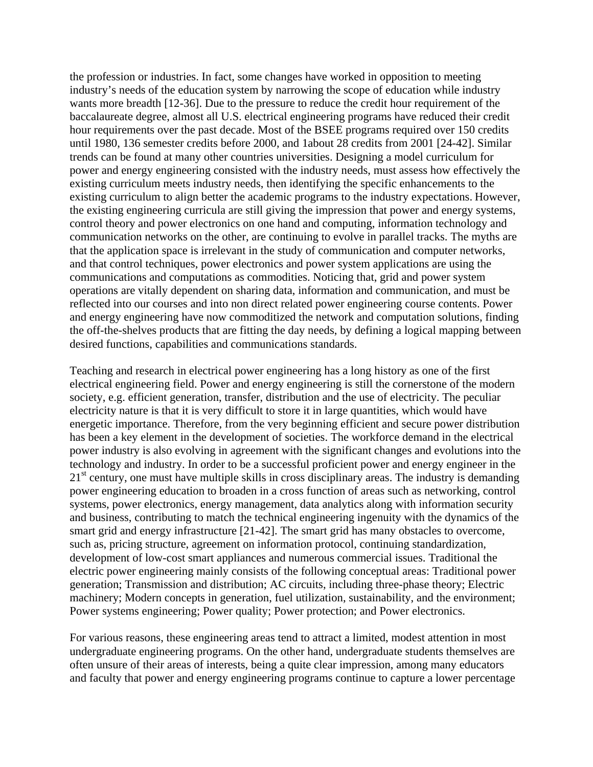the profession or industries. In fact, some changes have worked in opposition to meeting industry's needs of the education system by narrowing the scope of education while industry wants more breadth [12-36]. Due to the pressure to reduce the credit hour requirement of the baccalaureate degree, almost all U.S. electrical engineering programs have reduced their credit hour requirements over the past decade. Most of the BSEE programs required over 150 credits until 1980, 136 semester credits before 2000, and 1about 28 credits from 2001 [24-42]. Similar trends can be found at many other countries universities. Designing a model curriculum for power and energy engineering consisted with the industry needs, must assess how effectively the existing curriculum meets industry needs, then identifying the specific enhancements to the existing curriculum to align better the academic programs to the industry expectations. However, the existing engineering curricula are still giving the impression that power and energy systems, control theory and power electronics on one hand and computing, information technology and communication networks on the other, are continuing to evolve in parallel tracks. The myths are that the application space is irrelevant in the study of communication and computer networks, and that control techniques, power electronics and power system applications are using the communications and computations as commodities. Noticing that, grid and power system operations are vitally dependent on sharing data, information and communication, and must be reflected into our courses and into non direct related power engineering course contents. Power and energy engineering have now commoditized the network and computation solutions, finding the off-the-shelves products that are fitting the day needs, by defining a logical mapping between desired functions, capabilities and communications standards.

Teaching and research in electrical power engineering has a long history as one of the first electrical engineering field. Power and energy engineering is still the cornerstone of the modern society, e.g. efficient generation, transfer, distribution and the use of electricity. The peculiar electricity nature is that it is very difficult to store it in large quantities, which would have energetic importance. Therefore, from the very beginning efficient and secure power distribution has been a key element in the development of societies. The workforce demand in the electrical power industry is also evolving in agreement with the significant changes and evolutions into the technology and industry. In order to be a successful proficient power and energy engineer in the 21<sup>st</sup> century, one must have multiple skills in cross disciplinary areas. The industry is demanding power engineering education to broaden in a cross function of areas such as networking, control systems, power electronics, energy management, data analytics along with information security and business, contributing to match the technical engineering ingenuity with the dynamics of the smart grid and energy infrastructure [21-42]. The smart grid has many obstacles to overcome, such as, pricing structure, agreement on information protocol, continuing standardization, development of low-cost smart appliances and numerous commercial issues. Traditional the electric power engineering mainly consists of the following conceptual areas: Traditional power generation; Transmission and distribution; AC circuits, including three-phase theory; Electric machinery; Modern concepts in generation, fuel utilization, sustainability, and the environment; Power systems engineering; Power quality; Power protection; and Power electronics.

For various reasons, these engineering areas tend to attract a limited, modest attention in most undergraduate engineering programs. On the other hand, undergraduate students themselves are often unsure of their areas of interests, being a quite clear impression, among many educators and faculty that power and energy engineering programs continue to capture a lower percentage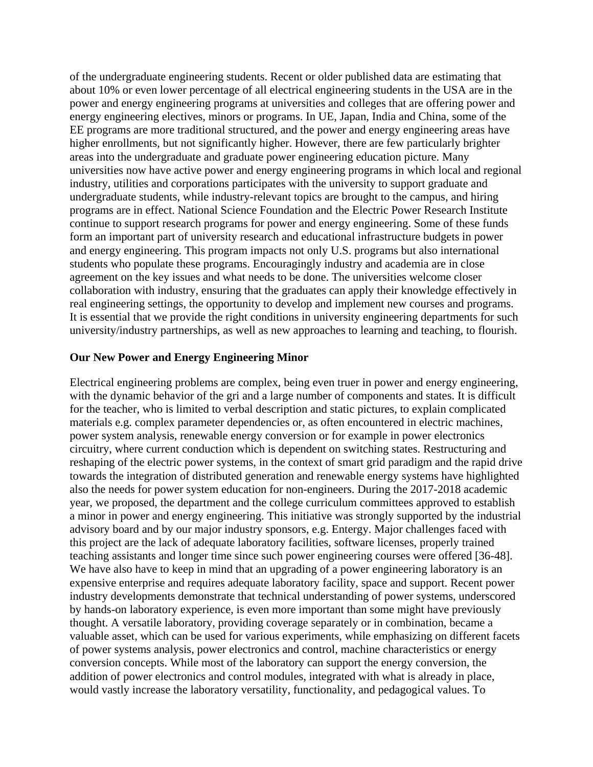of the undergraduate engineering students. Recent or older published data are estimating that about 10% or even lower percentage of all electrical engineering students in the USA are in the power and energy engineering programs at universities and colleges that are offering power and energy engineering electives, minors or programs. In UE, Japan, India and China, some of the EE programs are more traditional structured, and the power and energy engineering areas have higher enrollments, but not significantly higher. However, there are few particularly brighter areas into the undergraduate and graduate power engineering education picture. Many universities now have active power and energy engineering programs in which local and regional industry, utilities and corporations participates with the university to support graduate and undergraduate students, while industry-relevant topics are brought to the campus, and hiring programs are in effect. National Science Foundation and the Electric Power Research Institute continue to support research programs for power and energy engineering. Some of these funds form an important part of university research and educational infrastructure budgets in power and energy engineering. This program impacts not only U.S. programs but also international students who populate these programs. Encouragingly industry and academia are in close agreement on the key issues and what needs to be done. The universities welcome closer collaboration with industry, ensuring that the graduates can apply their knowledge effectively in real engineering settings, the opportunity to develop and implement new courses and programs. It is essential that we provide the right conditions in university engineering departments for such university/industry partnerships, as well as new approaches to learning and teaching, to flourish.

### **Our New Power and Energy Engineering Minor**

Electrical engineering problems are complex, being even truer in power and energy engineering, with the dynamic behavior of the gri and a large number of components and states. It is difficult for the teacher, who is limited to verbal description and static pictures, to explain complicated materials e.g. complex parameter dependencies or, as often encountered in electric machines, power system analysis, renewable energy conversion or for example in power electronics circuitry, where current conduction which is dependent on switching states. Restructuring and reshaping of the electric power systems, in the context of smart grid paradigm and the rapid drive towards the integration of distributed generation and renewable energy systems have highlighted also the needs for power system education for non-engineers. During the 2017-2018 academic year, we proposed, the department and the college curriculum committees approved to establish a minor in power and energy engineering. This initiative was strongly supported by the industrial advisory board and by our major industry sponsors, e.g. Entergy. Major challenges faced with this project are the lack of adequate laboratory facilities, software licenses, properly trained teaching assistants and longer time since such power engineering courses were offered [36-48]. We have also have to keep in mind that an upgrading of a power engineering laboratory is an expensive enterprise and requires adequate laboratory facility, space and support. Recent power industry developments demonstrate that technical understanding of power systems, underscored by hands-on laboratory experience, is even more important than some might have previously thought. A versatile laboratory, providing coverage separately or in combination, became a valuable asset, which can be used for various experiments, while emphasizing on different facets of power systems analysis, power electronics and control, machine characteristics or energy conversion concepts. While most of the laboratory can support the energy conversion, the addition of power electronics and control modules, integrated with what is already in place, would vastly increase the laboratory versatility, functionality, and pedagogical values. To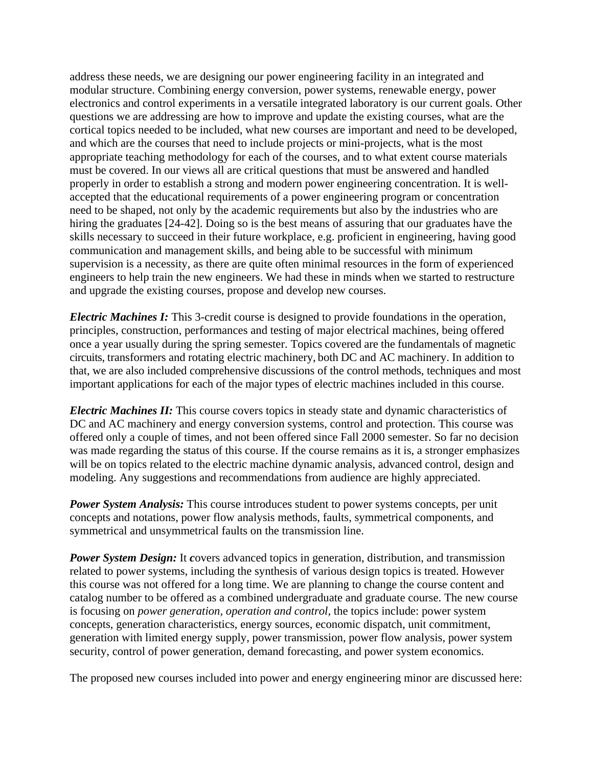address these needs, we are designing our power engineering facility in an integrated and modular structure. Combining energy conversion, power systems, renewable energy, power electronics and control experiments in a versatile integrated laboratory is our current goals. Other questions we are addressing are how to improve and update the existing courses, what are the cortical topics needed to be included, what new courses are important and need to be developed, and which are the courses that need to include projects or mini-projects, what is the most appropriate teaching methodology for each of the courses, and to what extent course materials must be covered. In our views all are critical questions that must be answered and handled properly in order to establish a strong and modern power engineering concentration. It is wellaccepted that the educational requirements of a power engineering program or concentration need to be shaped, not only by the academic requirements but also by the industries who are hiring the graduates [24-42]. Doing so is the best means of assuring that our graduates have the skills necessary to succeed in their future workplace, e.g. proficient in engineering, having good communication and management skills, and being able to be successful with minimum supervision is a necessity, as there are quite often minimal resources in the form of experienced engineers to help train the new engineers. We had these in minds when we started to restructure and upgrade the existing courses, propose and develop new courses.

*Electric Machines I:* This 3-credit course is designed to provide foundations in the operation, principles, construction, performances and testing of major electrical machines, being offered once a year usually during the spring semester. Topics covered are the fundamentals of magnetic circuits, transformers and rotating electric machinery, both DC and AC machinery. In addition to that, we are also included comprehensive discussions of the control methods, techniques and most important applications for each of the major types of electric machines included in this course.

*Electric Machines II:* This course covers topics in steady state and dynamic characteristics of DC and AC machinery and energy conversion systems, control and protection. This course was offered only a couple of times, and not been offered since Fall 2000 semester. So far no decision was made regarding the status of this course. If the course remains as it is, a stronger emphasizes will be on topics related to the electric machine dynamic analysis, advanced control, design and modeling. Any suggestions and recommendations from audience are highly appreciated.

*Power System Analysis:* This course introduces student to power systems concepts, per unit concepts and notations, power flow analysis methods, faults, symmetrical components, and symmetrical and unsymmetrical faults on the transmission line.

**Power System Design:** It covers advanced topics in generation, distribution, and transmission related to power systems, including the synthesis of various design topics is treated. However this course was not offered for a long time. We are planning to change the course content and catalog number to be offered as a combined undergraduate and graduate course. The new course is focusing on *power generation, operation and control,* the topics include: power system concepts, generation characteristics, energy sources, economic dispatch, unit commitment, generation with limited energy supply, power transmission, power flow analysis, power system security, control of power generation, demand forecasting, and power system economics.

The proposed new courses included into power and energy engineering minor are discussed here: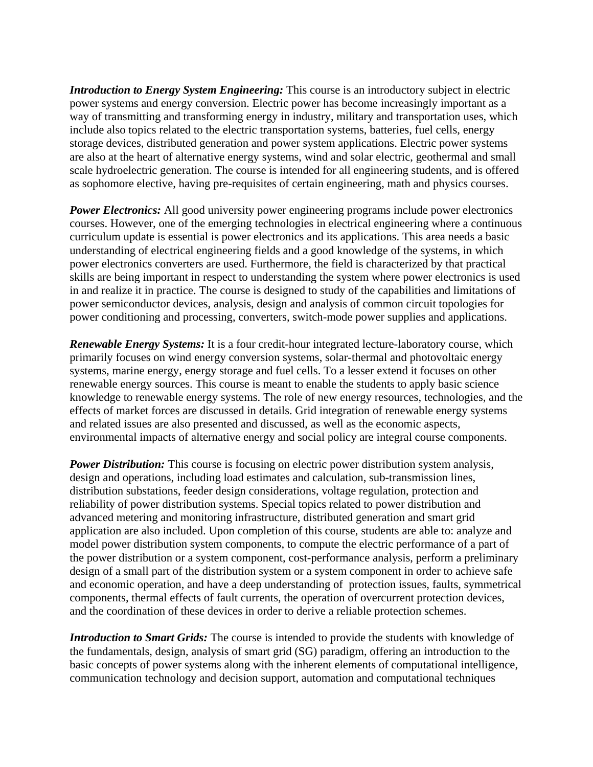*Introduction to Energy System Engineering:* This course is an introductory subject in electric power systems and energy conversion. Electric power has become increasingly important as a way of transmitting and transforming energy in industry, military and transportation uses, which include also topics related to the electric transportation systems, batteries, fuel cells, energy storage devices, distributed generation and power system applications. Electric power systems are also at the heart of alternative energy systems, wind and solar electric, geothermal and small scale hydroelectric generation. The course is intended for all engineering students, and is offered as sophomore elective, having pre-requisites of certain engineering, math and physics courses.

**Power Electronics:** All good university power engineering programs include power electronics courses. However, one of the emerging technologies in electrical engineering where a continuous curriculum update is essential is power electronics and its applications. This area needs a basic understanding of electrical engineering fields and a good knowledge of the systems, in which power electronics converters are used. Furthermore, the field is characterized by that practical skills are being important in respect to understanding the system where power electronics is used in and realize it in practice. The course is designed to study of the capabilities and limitations of power semiconductor devices, analysis, design and analysis of common circuit topologies for power conditioning and processing, converters, switch-mode power supplies and applications.

*Renewable Energy Systems:* It is a four credit-hour integrated lecture-laboratory course, which primarily focuses on wind energy conversion systems, solar-thermal and photovoltaic energy systems, marine energy, energy storage and fuel cells. To a lesser extend it focuses on other renewable energy sources. This course is meant to enable the students to apply basic science knowledge to renewable energy systems. The role of new energy resources, technologies, and the effects of market forces are discussed in details. Grid integration of renewable energy systems and related issues are also presented and discussed, as well as the economic aspects, environmental impacts of alternative energy and social policy are integral course components.

*Power Distribution:* This course is focusing on electric power distribution system analysis, design and operations, including load estimates and calculation, sub-transmission lines, distribution substations, feeder design considerations, voltage regulation, protection and reliability of power distribution systems. Special topics related to power distribution and advanced metering and monitoring infrastructure, distributed generation and smart grid application are also included. Upon completion of this course, students are able to: analyze and model power distribution system components, to compute the electric performance of a part of the power distribution or a system component, cost-performance analysis, perform a preliminary design of a small part of the distribution system or a system component in order to achieve safe and economic operation, and have a deep understanding of protection issues, faults, symmetrical components, thermal effects of fault currents, the operation of overcurrent protection devices, and the coordination of these devices in order to derive a reliable protection schemes.

*Introduction to Smart Grids:* The course is intended to provide the students with knowledge of the fundamentals, design, analysis of smart grid (SG) paradigm, offering an introduction to the basic concepts of power systems along with the inherent elements of computational intelligence, communication technology and decision support, automation and computational techniques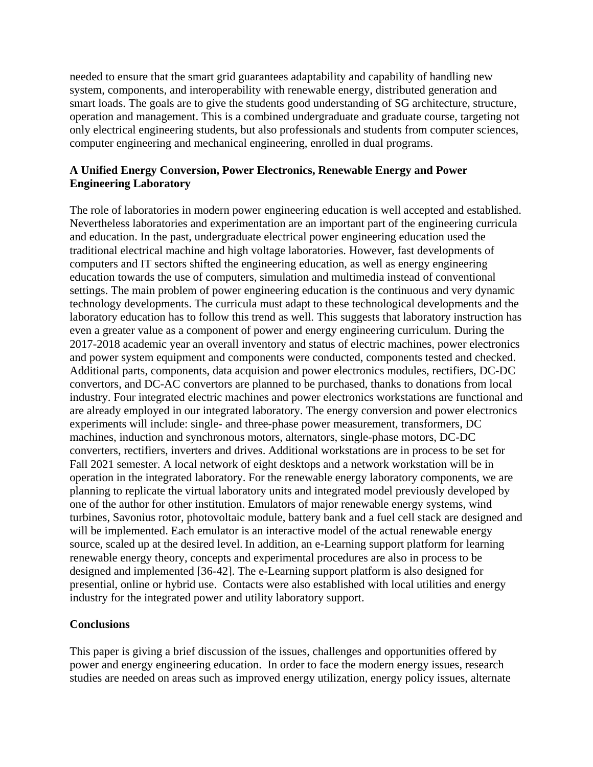needed to ensure that the smart grid guarantees adaptability and capability of handling new system, components, and interoperability with renewable energy, distributed generation and smart loads. The goals are to give the students good understanding of SG architecture, structure, operation and management. This is a combined undergraduate and graduate course, targeting not only electrical engineering students, but also professionals and students from computer sciences, computer engineering and mechanical engineering, enrolled in dual programs.

# **A Unified Energy Conversion, Power Electronics, Renewable Energy and Power Engineering Laboratory**

The role of laboratories in modern power engineering education is well accepted and established. Nevertheless laboratories and experimentation are an important part of the engineering curricula and education. In the past, undergraduate electrical power engineering education used the traditional electrical machine and high voltage laboratories. However, fast developments of computers and IT sectors shifted the engineering education, as well as energy engineering education towards the use of computers, simulation and multimedia instead of conventional settings. The main problem of power engineering education is the continuous and very dynamic technology developments. The curricula must adapt to these technological developments and the laboratory education has to follow this trend as well. This suggests that laboratory instruction has even a greater value as a component of power and energy engineering curriculum. During the 2017-2018 academic year an overall inventory and status of electric machines, power electronics and power system equipment and components were conducted, components tested and checked. Additional parts, components, data acquision and power electronics modules, rectifiers, DC-DC convertors, and DC-AC convertors are planned to be purchased, thanks to donations from local industry. Four integrated electric machines and power electronics workstations are functional and are already employed in our integrated laboratory. The energy conversion and power electronics experiments will include: single- and three-phase power measurement, transformers, DC machines, induction and synchronous motors, alternators, single-phase motors, DC-DC converters, rectifiers, inverters and drives. Additional workstations are in process to be set for Fall 2021 semester. A local network of eight desktops and a network workstation will be in operation in the integrated laboratory. For the renewable energy laboratory components, we are planning to replicate the virtual laboratory units and integrated model previously developed by one of the author for other institution. Emulators of major renewable energy systems, wind turbines, Savonius rotor, photovoltaic module, battery bank and a fuel cell stack are designed and will be implemented. Each emulator is an interactive model of the actual renewable energy source, scaled up at the desired level. In addition, an e-Learning support platform for learning renewable energy theory, concepts and experimental procedures are also in process to be designed and implemented [36-42]. The e-Learning support platform is also designed for presential, online or hybrid use. Contacts were also established with local utilities and energy industry for the integrated power and utility laboratory support.

# **Conclusions**

This paper is giving a brief discussion of the issues, challenges and opportunities offered by power and energy engineering education. In order to face the modern energy issues, research studies are needed on areas such as improved energy utilization, energy policy issues, alternate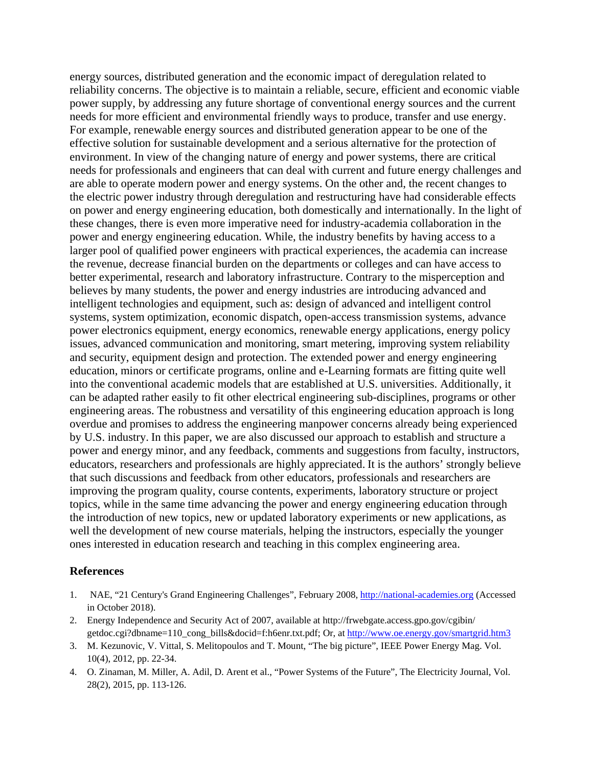energy sources, distributed generation and the economic impact of deregulation related to reliability concerns. The objective is to maintain a reliable, secure, efficient and economic viable power supply, by addressing any future shortage of conventional energy sources and the current needs for more efficient and environmental friendly ways to produce, transfer and use energy. For example, renewable energy sources and distributed generation appear to be one of the effective solution for sustainable development and a serious alternative for the protection of environment. In view of the changing nature of energy and power systems, there are critical needs for professionals and engineers that can deal with current and future energy challenges and are able to operate modern power and energy systems. On the other and, the recent changes to the electric power industry through deregulation and restructuring have had considerable effects on power and energy engineering education, both domestically and internationally. In the light of these changes, there is even more imperative need for industry-academia collaboration in the power and energy engineering education. While, the industry benefits by having access to a larger pool of qualified power engineers with practical experiences, the academia can increase the revenue, decrease financial burden on the departments or colleges and can have access to better experimental, research and laboratory infrastructure. Contrary to the misperception and believes by many students, the power and energy industries are introducing advanced and intelligent technologies and equipment, such as: design of advanced and intelligent control systems, system optimization, economic dispatch, open-access transmission systems, advance power electronics equipment, energy economics, renewable energy applications, energy policy issues, advanced communication and monitoring, smart metering, improving system reliability and security, equipment design and protection. The extended power and energy engineering education, minors or certificate programs, online and e-Learning formats are fitting quite well into the conventional academic models that are established at U.S. universities. Additionally, it can be adapted rather easily to fit other electrical engineering sub-disciplines, programs or other engineering areas. The robustness and versatility of this engineering education approach is long overdue and promises to address the engineering manpower concerns already being experienced by U.S. industry. In this paper, we are also discussed our approach to establish and structure a power and energy minor, and any feedback, comments and suggestions from faculty, instructors, educators, researchers and professionals are highly appreciated. It is the authors' strongly believe that such discussions and feedback from other educators, professionals and researchers are improving the program quality, course contents, experiments, laboratory structure or project topics, while in the same time advancing the power and energy engineering education through the introduction of new topics, new or updated laboratory experiments or new applications, as well the development of new course materials, helping the instructors, especially the younger ones interested in education research and teaching in this complex engineering area.

### **References**

- 1. NAE, "21 Century's Grand Engineering Challenges", February 2008, http://national-academies.org (Accessed in October 2018).
- 2. Energy Independence and Security Act of 2007, available at http://frwebgate.access.gpo.gov/cgibin/ getdoc.cgi?dbname=110\_cong\_bills&docid=f:h6enr.txt.pdf; Or, at http://www.oe.energy.gov/smartgrid.htm3
- 3. M. Kezunovic, V. Vittal, S. Melitopoulos and T. Mount, "The big picture", IEEE Power Energy Mag. Vol. 10(4), 2012, pp. 22-34.
- 4. O. Zinaman, M. Miller, A. Adil, D. Arent et al., "Power Systems of the Future", The Electricity Journal, Vol. 28(2), 2015, pp. 113-126.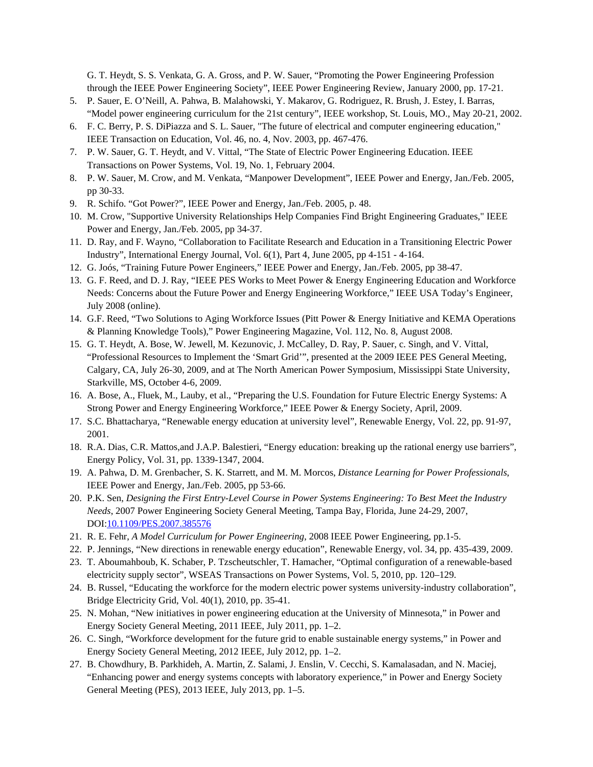G. T. Heydt, S. S. Venkata, G. A. Gross, and P. W. Sauer, "Promoting the Power Engineering Profession through the IEEE Power Engineering Society", IEEE Power Engineering Review, January 2000, pp. 17-21.

- 5. P. Sauer, E. O'Neill, A. Pahwa, B. Malahowski, Y. Makarov, G. Rodriguez, R. Brush, J. Estey, I. Barras, "Model power engineering curriculum for the 21st century", IEEE workshop, St. Louis, MO., May 20-21, 2002.
- 6. F. C. Berry, P. S. DiPiazza and S. L. Sauer, "The future of electrical and computer engineering education," IEEE Transaction on Education, Vol. 46, no. 4, Nov. 2003, pp. 467-476.
- 7. P. W. Sauer, G. T. Heydt, and V. Vittal, "The State of Electric Power Engineering Education. IEEE Transactions on Power Systems, Vol. 19, No. 1, February 2004.
- 8. P. W. Sauer, M. Crow, and M. Venkata, "Manpower Development", IEEE Power and Energy, Jan./Feb. 2005, pp 30-33.
- 9. R. Schifo. "Got Power?", IEEE Power and Energy, Jan./Feb. 2005, p. 48.
- 10. M. Crow, "Supportive University Relationships Help Companies Find Bright Engineering Graduates," IEEE Power and Energy, Jan./Feb. 2005, pp 34-37.
- 11. D. Ray, and F. Wayno, "Collaboration to Facilitate Research and Education in a Transitioning Electric Power Industry", International Energy Journal, Vol. 6(1), Part 4, June 2005, pp 4-151 - 4-164.
- 12. G. Joós, "Training Future Power Engineers," IEEE Power and Energy, Jan./Feb. 2005, pp 38-47.
- 13. G. F. Reed, and D. J. Ray, "IEEE PES Works to Meet Power & Energy Engineering Education and Workforce Needs: Concerns about the Future Power and Energy Engineering Workforce," IEEE USA Today's Engineer, July 2008 (online).
- 14. G.F. Reed, "Two Solutions to Aging Workforce Issues (Pitt Power & Energy Initiative and KEMA Operations & Planning Knowledge Tools)," Power Engineering Magazine, Vol. 112, No. 8, August 2008.
- 15. G. T. Heydt, A. Bose, W. Jewell, M. Kezunovic, J. McCalley, D. Ray, P. Sauer, c. Singh, and V. Vittal, "Professional Resources to Implement the 'Smart Grid'", presented at the 2009 IEEE PES General Meeting, Calgary, CA, July 26-30, 2009, and at The North American Power Symposium, Mississippi State University, Starkville, MS, October 4-6, 2009.
- 16. A. Bose, A., Fluek, M., Lauby, et al., "Preparing the U.S. Foundation for Future Electric Energy Systems: A Strong Power and Energy Engineering Workforce," IEEE Power & Energy Society, April, 2009.
- 17. S.C. Bhattacharya, "Renewable energy education at university level", Renewable Energy, Vol. 22, pp. 91-97, 2001.
- 18. R.A. Dias, C.R. Mattos,and J.A.P. Balestieri, "Energy education: breaking up the rational energy use barriers", Energy Policy, Vol. 31, pp. 1339-1347, 2004.
- 19. A. Pahwa, D. M. Grenbacher, S. K. Starrett, and M. M. Morcos, *Distance Learning for Power Professionals*, IEEE Power and Energy, Jan./Feb. 2005, pp 53-66.
- 20. P.K. Sen, *Designing the First Entry-Level Course in Power Systems Engineering: To Best Meet the Industry Needs*, 2007 Power Engineering Society General Meeting, Tampa Bay, Florida, June 24-29, 2007, DOI:10.1109/PES.2007.385576
- 21. R. E. Fehr, *A Model Curriculum for Power Engineering*, 2008 IEEE Power Engineering, pp.1-5.
- 22. P. Jennings, "New directions in renewable energy education", Renewable Energy, vol. 34, pp. 435-439, 2009.
- 23. T. Aboumahboub, K. Schaber, P. Tzscheutschler, T. Hamacher, "Optimal configuration of a renewable-based electricity supply sector", WSEAS Transactions on Power Systems, Vol. 5, 2010, pp. 120–129.
- 24. B. Russel, "Educating the workforce for the modern electric power systems university-industry collaboration", Bridge Electricity Grid, Vol. 40(1), 2010, pp. 35-41.
- 25. N. Mohan, "New initiatives in power engineering education at the University of Minnesota," in Power and Energy Society General Meeting, 2011 IEEE, July 2011, pp. 1–2.
- 26. C. Singh, "Workforce development for the future grid to enable sustainable energy systems," in Power and Energy Society General Meeting, 2012 IEEE, July 2012, pp. 1–2.
- 27. B. Chowdhury, B. Parkhideh, A. Martin, Z. Salami, J. Enslin, V. Cecchi, S. Kamalasadan, and N. Maciej, "Enhancing power and energy systems concepts with laboratory experience," in Power and Energy Society General Meeting (PES), 2013 IEEE, July 2013, pp. 1–5.